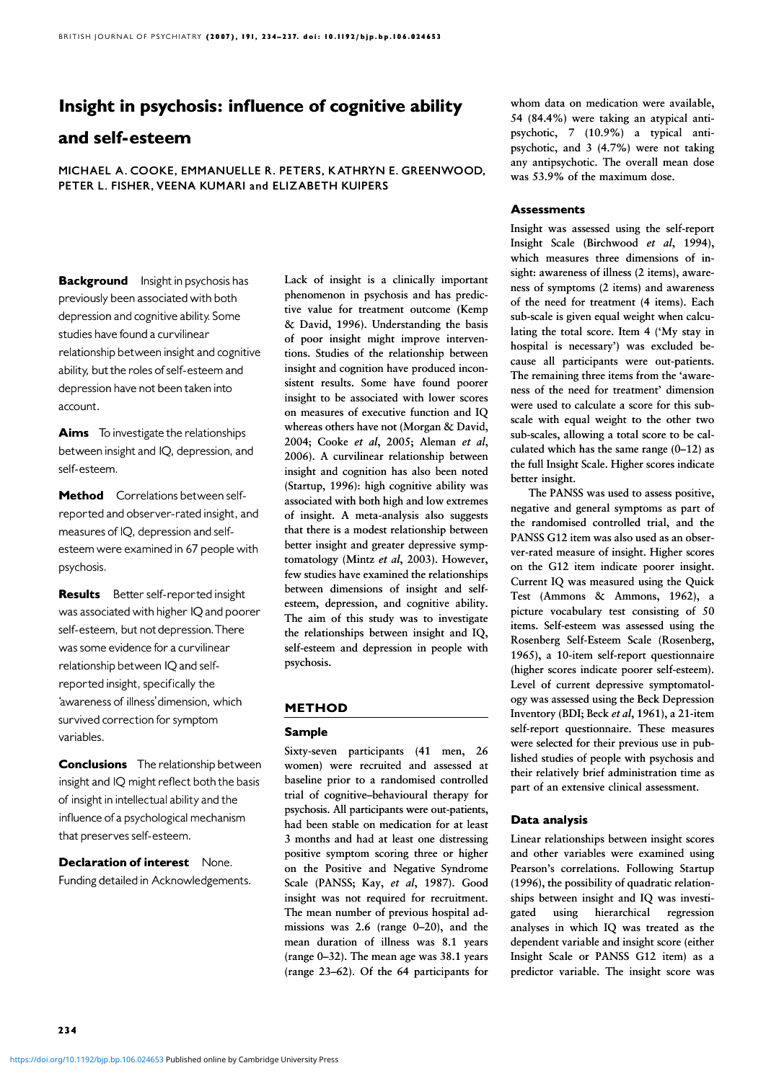# Insight in psychosis: influence of cognitive ability

## and self-esteem

MICHAEL A. COOKE, EMMANUELLE R. PETERS, KATHRYN E. GREENWOOD, PETER L. FISHER, VEENA KUMARI and ELIZABETH KUIPERS

**Background** Insight in psychosis has previously been associated with both depression and cognitive ability. Some studies have found a curvilinear relationship between insight and cognitive ability, but the roles of self-esteem and depression have not been taken into account.

**Aims** To investigate the relationships between insight and IQ, depression, and self-esteem.

Method Correlations between selfreported and observer-rated insight, and measures of IQ, depression and selfesteem were examined in 67 people with psychosis.

**Results** Better self-reported insight was associated with higher IQ and poorer self-esteem, but not depression. There was some evidence for a curvilinear relationship between IQ and selfreported insight, specifically the 'awareness of illness' dimension, which survived correction for symptom variables.

**Conclusions** The relationship between insight and IQ might reflect both the basis of insight in intellectual ability and the influence of a psychological mechanism that preserves self-esteem.

Declaration of interest None. Funding detailed in Acknowledgements. Lack of insight is a clinically important phenomenon in psychosis and has predictive value for treatment outcome (Kemp & David, 1996). Understanding the basis of poor insight might improve interventions. Studies of the relationship between insight and cognition have produced inconsistent results. Some have found poorer insight to be associated with lower scores on measures of executive function and IQ whereas others have not (Morgan & David, 2004; Cooke et al, 2005; Aleman et al, 2006). A curvilinear relationship between insight and cognition has also been noted (Startup, 1996): high cognitive ability was associated with both high and low extremes of insight. A meta-analysis also suggests that there is a modest relationship between better insight and greater depressive symptomatology (Mintz et al, 2003). However, few studies have examined the relationships between dimensions of insight and selfesteem, depression, and cognitive ability. The aim of this study was to investigate the relationships between insight and IQ, self-esteem and depression in people with psychosis.

## METHOD

## Sample

Sixty-seven participants (41 men, 26 women) were recruited and assessed at baseline prior to a randomised controlled trial of cognitive–behavioural therapy for psychosis. All participants were out-patients, had been stable on medication for at least 3 months and had at least one distressing positive symptom scoring three or higher on the Positive and Negative Syndrome Scale (PANSS; Kay, et al, 1987). Good insight was not required for recruitment. The mean number of previous hospital admissions was 2.6 (range 0–20), and the mean duration of illness was 8.1 years (range 0–32). The mean age was 38.1 years (range 23–62). Of the 64 participants for whom data on medication were available, 54 (84.4%) were taking an atypical antipsychotic, 7 (10.9%) a typical antipsychotic, and 3 (4.7%) were not taking any antipsychotic. The overall mean dose was 53.9% of the maximum dose.

## **Assessments**

Insight was assessed using the self-report Insight Scale (Birchwood et al, 1994), which measures three dimensions of insight: awareness of illness (2 items), awareness of symptoms (2 items) and awareness of the need for treatment (4 items). Each sub-scale is given equal weight when calculating the total score. Item 4 ('My stay in hospital is necessary') was excluded because all participants were out-patients. The remaining three items from the 'awareness of the need for treatment' dimension were used to calculate a score for this subscale with equal weight to the other two sub-scales, allowing a total score to be calculated which has the same range  $(0-12)$  as the full Insight Scale. Higher scores indicate better insight.

The PANSS was used to assess positive, negative and general symptoms as part of the randomised controlled trial, and the PANSS G12 item was also used as an observer-rated measure of insight. Higher scores on the G12 item indicate poorer insight. Current IQ was measured using the Quick Test (Ammons & Ammons, 1962), a picture vocabulary test consisting of 50 items. Self-esteem was assessed using the Rosenberg Self-Esteem Scale (Rosenberg, 1965), a 10-item self-report questionnaire (higher scores indicate poorer self-esteem). Level of current depressive symptomatology was assessed using the Beck Depression Inventory (BDI; Beck et al, 1961), a 21-item self-report questionnaire. These measures were selected for their previous use in published studies of people with psychosis and their relatively brief administration time as part of an extensive clinical assessment.

## Data analysis

Linear relationships between insight scores and other variables were examined using Pearson's correlations. Following Startup (1996), the possibility of quadratic relationships between insight and IQ was investigated using hierarchical regression analyses in which IQ was treated as the dependent variable and insight score (either Insight Scale or PANSS G12 item) as a predictor variable. The insight score was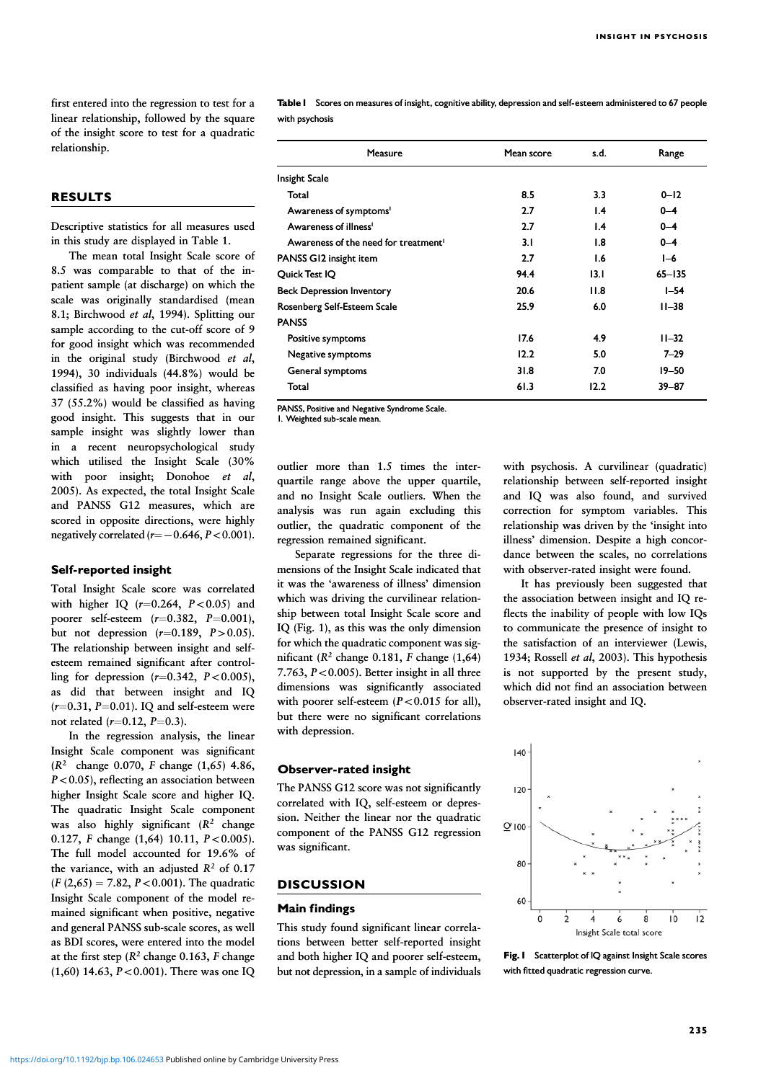first entered into the regression to test for a linear relationship, followed by the square of the insight score to test for a quadratic relationship.

## RESULTS

Descriptive statistics for all measures used in this study are displayed in Table 1.

The mean total Insight Scale score of 8.5 was comparable to that of the inpatient sample (at discharge) on which the scale was originally standardised (mean 8.1; Birchwood et al, 1994). Splitting our sample according to the cut-off score of 9 for good insight which was recommended in the original study (Birchwood  $et$   $al$ , 1994), 30 individuals (44.8%) would be classified as having poor insight, whereas 37 (55.2%) would be classified as having good insight. This suggests that in our sample insight was slightly lower than in a recent neuropsychological study which utilised the Insight Scale (30% with poor insight; Donohoe  $et \ al$ , 2005). As expected, the total Insight Scale and PANSS G12 measures, which are scored in opposite directions, were highly negatively correlated  $(r=-0.646, P<0.001)$ .

#### Self-reported insight

Total Insight Scale score was correlated with higher IQ  $(r=0.264, P<0.05)$  and poorer self-esteem  $(r=0.382, P=0.001)$ , but not depression  $(r=0.189, P>0.05)$ . The relationship between insight and selfesteem remained significant after controlling for depression  $(r=0.342, P<0.005)$ , as did that between insight and IQ  $(r=0.31, P=0.01)$ . IQ and self-esteem were not related  $(r=0.12, P=0.3)$ .

In the regression analysis, the linear Insight Scale component was significant (R<sup>2</sup> change 0.070, F change (1,65) 4.86,  $P<0.05$ ), reflecting an association between higher Insight Scale score and higher IQ. The quadratic Insight Scale component was also highly significant  $(R^2 \text{ change})$ 0.127,  $F$  change (1,64) 10.11,  $P < 0.005$ ). The full model accounted for 19.6% of the variance, with an adjusted  $R^2$  of 0.17  $(F (2,65) = 7.82, P < 0.001)$ . The quadratic Insight Scale component of the model remained significant when positive, negative and general PANSS sub-scale scores, as well as BDI scores, were entered into the model at the first step  $(R^2 \text{ change } 0.163, F \text{ change})$  $(1,60)$  14.63,  $P < 0.001$ ). There was one IQ Table 1 Scores on measures of insight, cognitive ability, depression and self-esteem administered to 67 people with psychosis

| <b>Measure</b>                                   | Mean score | s.d.            | Range      |
|--------------------------------------------------|------------|-----------------|------------|
| Insight Scale                                    |            |                 |            |
| Total                                            | 8.5        | 3.3             | $0 - 12$   |
| Awareness of symptoms <sup>1</sup>               | 2.7        | $\mathsf{I}$ .4 | $0 - 4$    |
| Awareness of illness <sup>1</sup>                | 2.7        | $\mathsf{I}$ .4 | $0 - 4$    |
| Awareness of the need for treatment <sup>1</sup> | 3.1        | 1.8             | $0 - 4$    |
| PANSS G12 insight item                           | 2.7        | I.6             | $I-6$      |
| Quick Test IQ                                    | 94.4       | 13.1            | $65 - 135$ |
| <b>Beck Depression Inventory</b>                 | 20.6       | 11.8            | $I-54$     |
| Rosenberg Self-Esteem Scale                      | 25.9       | 6.0             | $11 - 38$  |
| <b>PANSS</b>                                     |            |                 |            |
| Positive symptoms                                | 17.6       | 4.9             | $11 - 32$  |
| Negative symptoms                                | 12.2       | 5.0             | $7 - 29$   |
| General symptoms                                 | 31.8       | 7.0             | $19 - 50$  |
| Total                                            | 61.3       | 12.2            | $39 - 87$  |

PANSS, Positive and Negative Syndrome Scale. 1. Weighted sub-scale mean.

outlier more than 1.5 times the interquartile range above the upper quartile, and no Insight Scale outliers. When the analysis was run again excluding this outlier, the quadratic component of the regression remained significant.

Separate regressions for the three dimensions of the Insight Scale indicated that it was the 'awareness of illness' dimension which was driving the curvilinear relationship between total Insight Scale score and IQ (Fig. 1), as this was the only dimension for which the quadratic component was significant ( $R^2$  change 0.181, F change (1,64) 7.763,  $P < 0.005$ ). Better insight in all three dimensions was significantly associated with poorer self-esteem  $(P<0.015$  for all), but there were no significant correlations with depression.

#### Observer-rated insight

The PANSS G12 score was not significantly correlated with IQ, self-esteem or depression. Neither the linear nor the quadratic component of the PANSS G12 regression was significant.

#### **DISCUSSION**

## Main findings

This study found significant linear correlations between better self-reported insight and both higher IQ and poorer self-esteem, but not depression, in a sample of individuals

with psychosis. A curvilinear (quadratic) relationship between self-reported insight and IQ was also found, and survived correction for symptom variables. This relationship was driven by the 'insight into illness' dimension. Despite a high concordance between the scales, no correlations with observer-rated insight were found.

It has previously been suggested that the association between insight and IQ reflects the inability of people with low IQs to communicate the presence of insight to the satisfaction of an interviewer (Lewis, 1934; Rossell et al, 2003). This hypothesis is not supported by the present study, which did not find an association between observer-rated insight and IQ.



Fig. 1 Scatterplot of IQ against Insight Scale scores with fitted quadratic regression curve.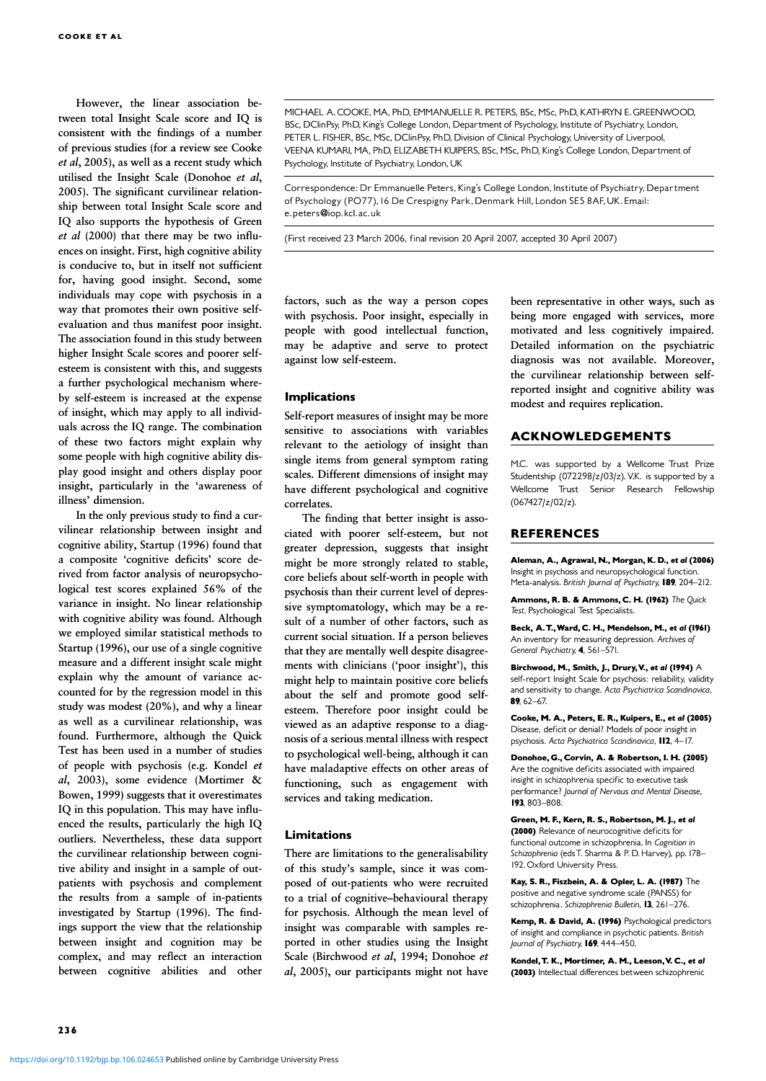However, the linear association between total Insight Scale score and IQ is consistent with the findings of a number of previous studies (for a review see Cooke  $et al$ , 2005), as well as a recent study which utilised the Insight Scale (Donohoe et al, 2005). The significant curvilinear relationship between total Insight Scale score and IQ also supports the hypothesis of Green et al (2000) that there may be two influences on insight. First, high cognitive ability is conducive to, but in itself not sufficient for, having good insight. Second, some individuals may cope with psychosis in a way that promotes their own positive selfevaluation and thus manifest poor insight. The association found in this study between higher Insight Scale scores and poorer selfesteem is consistent with this, and suggests a further psychological mechanism whereby self-esteem is increased at the expense of insight, which may apply to all individuals across the IQ range. The combination of these two factors might explain why some people with high cognitive ability display good insight and others display poor insight, particularly in the 'awareness of illness' dimension.

In the only previous study to find a curvilinear relationship between insight and cognitive ability, Startup (1996) found that a composite 'cognitive deficits' score derived from factor analysis of neuropsychological test scores explained 56% of the variance in insight. No linear relationship with cognitive ability was found. Although we employed similar statistical methods to Startup (1996), our use of a single cognitive measure and a different insight scale might explain why the amount of variance accounted for by the regression model in this study was modest (20%), and why a linear as well as a curvilinear relationship, was found. Furthermore, although the Quick Test has been used in a number of studies of people with psychosis (e.g. Kondel et al, 2003), some evidence (Mortimer & Bowen, 1999) suggests that it overestimates IQ in this population. This may have influenced the results, particularly the high IQ outliers. Nevertheless, these data support the curvilinear relationship between cognitive ability and insight in a sample of outpatients with psychosis and complement the results from a sample of in-patients investigated by Startup (1996). The findings support the view that the relationship between insight and cognition may be complex, and may reflect an interaction between cognitive abilities and other

MICHAEL A. COOKE, MA, PhD, EMMANUELLE R. PETERS, BSc, MSc, PhD, KATHRYN E. GREENWOOD, BSc, DClinPsy, PhD, King's College London, Department of Psychology, Institute of Psychiatry, London, PETER L. FISHER, BSc, MSc, DClinPsy, PhD, Division of Clinical Psychology, University of Liverpool, VEENA KUMARI, MA, PhD, ELIZABETH KUIPERS, BSc, MSc, PhD, King's College London, Department of Psychology, Institute of Psychiatry, London, UK

Correspondence: Dr Emmanuelle Peters, King's College London, Institute of Psychiatry, Department of Psychology (PO77), 16 De Crespigny Park, Denmark Hill, London SE5 8AF, UK. Email: e.peters@iop.kcl.ac.uk

(First received 23 March 2006, final revision 20 April 2007, accepted 30 April 2007)

factors, such as the way a person copes with psychosis. Poor insight, especially in people with good intellectual function, may be adaptive and serve to protect against low self-esteem.

#### **Implications**

Self-report measures of insight may be more sensitive to associations with variables relevant to the aetiology of insight than single items from general symptom rating scales. Different dimensions of insight may have different psychological and cognitive correlates.

The finding that better insight is associated with poorer self-esteem, but not greater depression, suggests that insight might be more strongly related to stable, core beliefs about self-worth in people with psychosis than their current level of depressive symptomatology, which may be a result of a number of other factors, such as current social situation. If a person believes that they are mentally well despite disagreements with clinicians ('poor insight'), this might help to maintain positive core beliefs about the self and promote good selfesteem. Therefore poor insight could be viewed as an adaptive response to a diagnosis of a serious mental illness with respect to psychological well-being, although it can have maladaptive effects on other areas of functioning, such as engagement with services and taking medication.

## Limitations

There are limitations to the generalisability of this study's sample, since it was composed of out-patients who were recruited to a trial of cognitive–behavioural therapy for psychosis. Although the mean level of insight was comparable with samples reported in other studies using the Insight Scale (Birchwood et al, 1994; Donohoe et al, 2005), our participants might not have

been representative in other ways, such as being more engaged with services, more motivated and less cognitively impaired. Detailed information on the psychiatric diagnosis was not available. Moreover, the curvilinear relationship between selfreported insight and cognitive ability was modest and requires replication.

#### ACKNOWLEDGEMENTS

M.C. was supported by a Wellcome Trust Prize Studentship (072298/z/03/z).V.K. is supported by a Wellcome Trust Senior Research Fellowship (067427/z/02/z).

## REFERENCES

Aleman, A., Agrawal, N., Morgan, K. D., et al (2006) Insight in psychosis and neuropsychological function. Meta-analysis. British Journal of Psychiatry, 189, 204-212.

Ammons, R. B. & Ammons, C. H. (1962) The Quick Test. Psychological Test Specialists.

Beck, A. T., Ward, C. H., Mendelson, M., et al (1961) An inventory for measuring depression. Archives of General Psychiatry, 4, 561-571.

Birchwood, M., Smith, J., Drury, V., et al (1994)  $\mathsf A$ self-report Insight Scale for psychosis: reliability, validity and sensitivity to change. Acta Psychiatrica Scandinavica, 89.  $62-67$ .

Cooke, M. A., Peters, E. R., Kuipers, E., et al (2005) Disease, deficit or denial? Models of poor insight in psychosis. Acta Psychiatrica Scandinavica, 112, 4-17.

Donohoe, G., Corvin, A. & Robertson, I. H. (2005). Are the cognitive deficits associated with impaired insight in schizophrenia specific to executive task performance? Journal of Nervous and Mental Disease, 193, 803-808.

Green, M. F., Kern, R. S., Robertson, M. J., et al (2000) Relevance of neurocognitive deficits for functional outcome in schizophrenia. In Cognition in Schizophrenia (eds T. Sharma & P. D. Harvey), pp. 178-192. Oxford University Press.

Kay, S. R., Fiszbein, A. & Opler, L. A. (1987) The positive and negative syndrome scale (PANSS) for schizophrenia. Schizophrenia Bulletin, 13, 261-276.

Kemp, R. & David, A. (1996) Psychological predictors of insight and compliance in psychotic patients. British Journal of Psychiatry, 169, 444-450.

Kondel, T. K., Mortimer, A. M., Leeson, V. C., et al (2003) Intellectual differences between schizophrenic